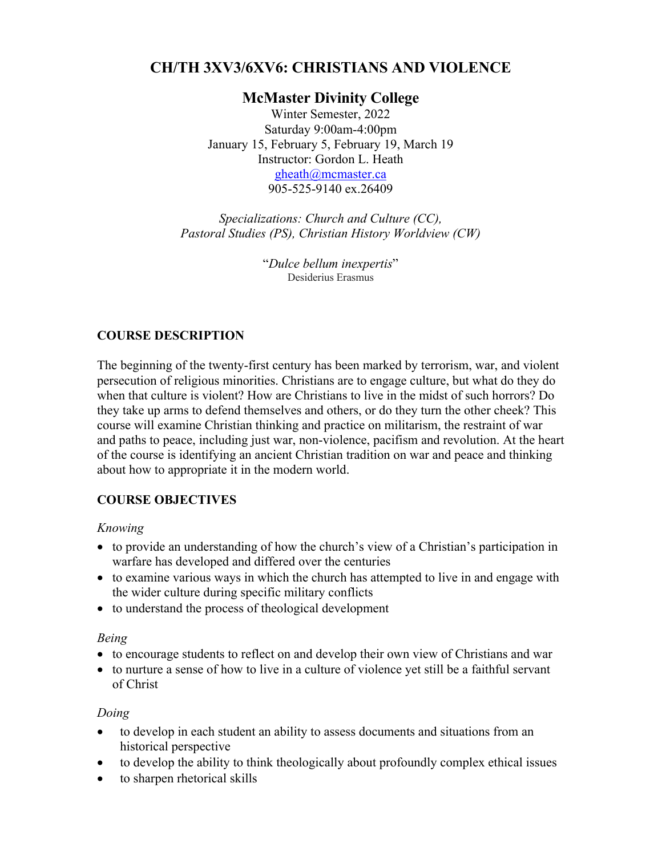# **CH/TH 3XV3/6XV6: CHRISTIANS AND VIOLENCE**

## **McMaster Divinity College**

Winter Semester, 2022 Saturday 9:00am-4:00pm January 15, February 5, February 19, March 19 Instructor: Gordon L. Heath gheath@mcmaster.ca 905-525-9140 ex.26409

*Specializations: Church and Culture (CC), Pastoral Studies (PS), Christian History Worldview (CW)*

> "*Dulce bellum inexpertis*" Desiderius Erasmus

## **COURSE DESCRIPTION**

The beginning of the twenty-first century has been marked by terrorism, war, and violent persecution of religious minorities. Christians are to engage culture, but what do they do when that culture is violent? How are Christians to live in the midst of such horrors? Do they take up arms to defend themselves and others, or do they turn the other cheek? This course will examine Christian thinking and practice on militarism, the restraint of war and paths to peace, including just war, non-violence, pacifism and revolution. At the heart of the course is identifying an ancient Christian tradition on war and peace and thinking about how to appropriate it in the modern world.

## **COURSE OBJECTIVES**

### *Knowing*

- to provide an understanding of how the church's view of a Christian's participation in warfare has developed and differed over the centuries
- to examine various ways in which the church has attempted to live in and engage with the wider culture during specific military conflicts
- to understand the process of theological development

### *Being*

- to encourage students to reflect on and develop their own view of Christians and war
- to nurture a sense of how to live in a culture of violence yet still be a faithful servant of Christ

### *Doing*

- to develop in each student an ability to assess documents and situations from an historical perspective
- to develop the ability to think theologically about profoundly complex ethical issues
- to sharpen rhetorical skills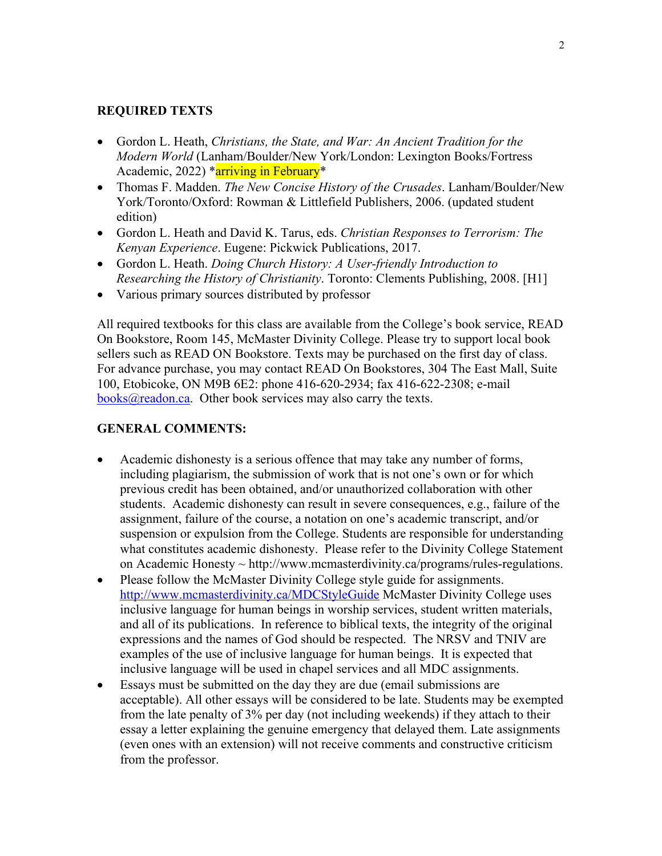#### **REQUIRED TEXTS**

- Gordon L. Heath, *Christians, the State, and War: An Ancient Tradition for the Modern World* (Lanham/Boulder/New York/London: Lexington Books/Fortress Academic, 2022) \*arriving in February\*
- Thomas F. Madden. *The New Concise History of the Crusades*. Lanham/Boulder/New York/Toronto/Oxford: Rowman & Littlefield Publishers, 2006. (updated student edition)
- Gordon L. Heath and David K. Tarus, eds. *Christian Responses to Terrorism: The Kenyan Experience*. Eugene: Pickwick Publications, 2017.
- Gordon L. Heath. *Doing Church History: A User-friendly Introduction to Researching the History of Christianity*. Toronto: Clements Publishing, 2008. [H1]
- Various primary sources distributed by professor

All required textbooks for this class are available from the College's book service, READ On Bookstore, Room 145, McMaster Divinity College. Please try to support local book sellers such as READ ON Bookstore. Texts may be purchased on the first day of class. For advance purchase, you may contact READ On Bookstores, 304 The East Mall, Suite 100, Etobicoke, ON M9B 6E2: phone 416-620-2934; fax 416-622-2308; e-mail  $books@readon.ca.$  Other book services may also carry the texts.

#### **GENERAL COMMENTS:**

- Academic dishonesty is a serious offence that may take any number of forms, including plagiarism, the submission of work that is not one's own or for which previous credit has been obtained, and/or unauthorized collaboration with other students. Academic dishonesty can result in severe consequences, e.g., failure of the assignment, failure of the course, a notation on one's academic transcript, and/or suspension or expulsion from the College. Students are responsible for understanding what constitutes academic dishonesty. Please refer to the Divinity College Statement on Academic Honesty ~ http://www.mcmasterdivinity.ca/programs/rules-regulations.
- Please follow the McMaster Divinity College style guide for assignments. http://www.mcmasterdivinity.ca/MDCStyleGuide McMaster Divinity College uses inclusive language for human beings in worship services, student written materials, and all of its publications. In reference to biblical texts, the integrity of the original expressions and the names of God should be respected. The NRSV and TNIV are examples of the use of inclusive language for human beings. It is expected that inclusive language will be used in chapel services and all MDC assignments.
- Essays must be submitted on the day they are due (email submissions are acceptable). All other essays will be considered to be late. Students may be exempted from the late penalty of 3% per day (not including weekends) if they attach to their essay a letter explaining the genuine emergency that delayed them. Late assignments (even ones with an extension) will not receive comments and constructive criticism from the professor.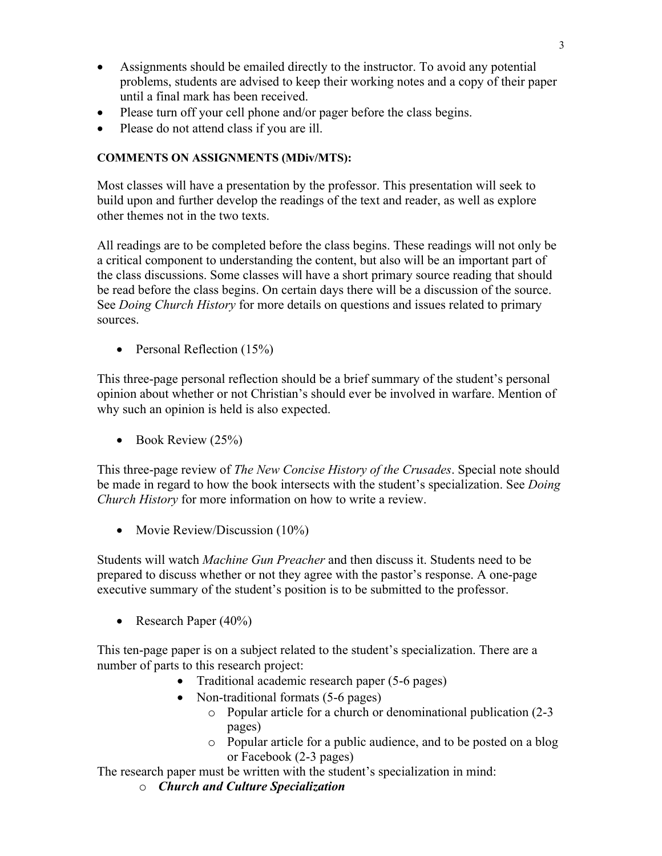- Assignments should be emailed directly to the instructor. To avoid any potential problems, students are advised to keep their working notes and a copy of their paper until a final mark has been received.
- Please turn off your cell phone and/or pager before the class begins.
- Please do not attend class if you are ill.

### **COMMENTS ON ASSIGNMENTS (MDiv/MTS):**

Most classes will have a presentation by the professor. This presentation will seek to build upon and further develop the readings of the text and reader, as well as explore other themes not in the two texts.

All readings are to be completed before the class begins. These readings will not only be a critical component to understanding the content, but also will be an important part of the class discussions. Some classes will have a short primary source reading that should be read before the class begins. On certain days there will be a discussion of the source. See *Doing Church History* for more details on questions and issues related to primary sources.

• Personal Reflection (15%)

This three-page personal reflection should be a brief summary of the student's personal opinion about whether or not Christian's should ever be involved in warfare. Mention of why such an opinion is held is also expected.

• Book Review (25%)

This three-page review of *The New Concise History of the Crusades*. Special note should be made in regard to how the book intersects with the student's specialization. See *Doing Church History* for more information on how to write a review.

• Movie Review/Discussion (10%)

Students will watch *Machine Gun Preacher* and then discuss it. Students need to be prepared to discuss whether or not they agree with the pastor's response. A one-page executive summary of the student's position is to be submitted to the professor.

• Research Paper (40%)

This ten-page paper is on a subject related to the student's specialization. There are a number of parts to this research project:

- Traditional academic research paper (5-6 pages)
- Non-traditional formats (5-6 pages)
	- o Popular article for a church or denominational publication (2-3 pages)
	- o Popular article for a public audience, and to be posted on a blog or Facebook (2-3 pages)

The research paper must be written with the student's specialization in mind:

o *Church and Culture Specialization*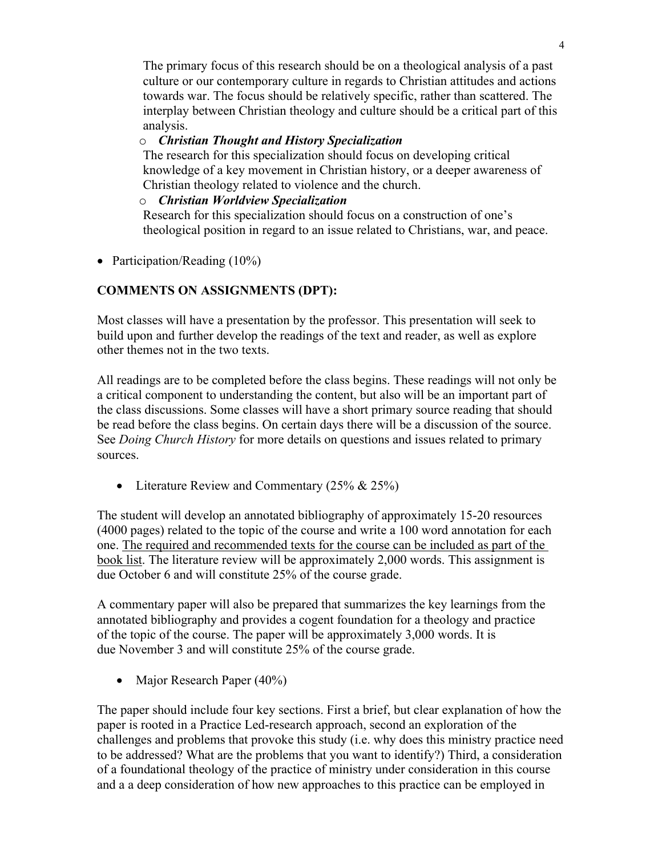The primary focus of this research should be on a theological analysis of a past culture or our contemporary culture in regards to Christian attitudes and actions towards war. The focus should be relatively specific, rather than scattered. The interplay between Christian theology and culture should be a critical part of this analysis.

#### o *Christian Thought and History Specialization*

The research for this specialization should focus on developing critical knowledge of a key movement in Christian history, or a deeper awareness of Christian theology related to violence and the church.

#### o *Christian Worldview Specialization*

Research for this specialization should focus on a construction of one's theological position in regard to an issue related to Christians, war, and peace.

• Participation/Reading (10%)

## **COMMENTS ON ASSIGNMENTS (DPT):**

Most classes will have a presentation by the professor. This presentation will seek to build upon and further develop the readings of the text and reader, as well as explore other themes not in the two texts.

All readings are to be completed before the class begins. These readings will not only be a critical component to understanding the content, but also will be an important part of the class discussions. Some classes will have a short primary source reading that should be read before the class begins. On certain days there will be a discussion of the source. See *Doing Church History* for more details on questions and issues related to primary sources.

• Literature Review and Commentary (25% & 25%)

The student will develop an annotated bibliography of approximately 15-20 resources (4000 pages) related to the topic of the course and write a 100 word annotation for each one. The required and recommended texts for the course can be included as part of the book list. The literature review will be approximately 2,000 words. This assignment is due October 6 and will constitute 25% of the course grade.

A commentary paper will also be prepared that summarizes the key learnings from the annotated bibliography and provides a cogent foundation for a theology and practice of the topic of the course. The paper will be approximately 3,000 words. It is due November 3 and will constitute 25% of the course grade.

• Major Research Paper (40%)

The paper should include four key sections. First a brief, but clear explanation of how the paper is rooted in a Practice Led-research approach, second an exploration of the challenges and problems that provoke this study (i.e. why does this ministry practice need to be addressed? What are the problems that you want to identify?) Third, a consideration of a foundational theology of the practice of ministry under consideration in this course and a a deep consideration of how new approaches to this practice can be employed in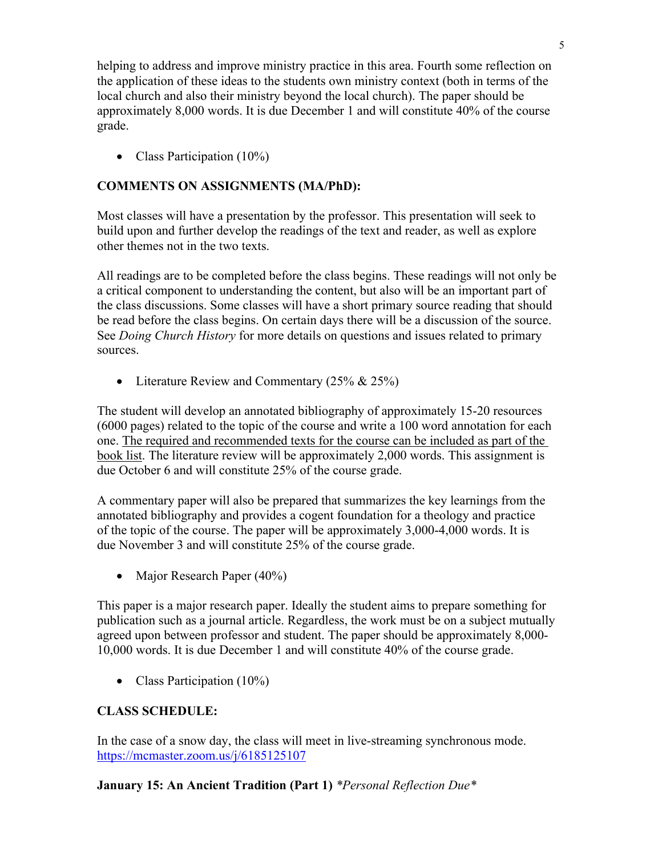helping to address and improve ministry practice in this area. Fourth some reflection on the application of these ideas to the students own ministry context (both in terms of the local church and also their ministry beyond the local church). The paper should be approximately 8,000 words. It is due December 1 and will constitute 40% of the course grade.

• Class Participation (10%)

## **COMMENTS ON ASSIGNMENTS (MA/PhD):**

Most classes will have a presentation by the professor. This presentation will seek to build upon and further develop the readings of the text and reader, as well as explore other themes not in the two texts.

All readings are to be completed before the class begins. These readings will not only be a critical component to understanding the content, but also will be an important part of the class discussions. Some classes will have a short primary source reading that should be read before the class begins. On certain days there will be a discussion of the source. See *Doing Church History* for more details on questions and issues related to primary sources.

• Literature Review and Commentary (25% & 25%)

The student will develop an annotated bibliography of approximately 15-20 resources (6000 pages) related to the topic of the course and write a 100 word annotation for each one. The required and recommended texts for the course can be included as part of the book list. The literature review will be approximately 2,000 words. This assignment is due October 6 and will constitute 25% of the course grade.

A commentary paper will also be prepared that summarizes the key learnings from the annotated bibliography and provides a cogent foundation for a theology and practice of the topic of the course. The paper will be approximately 3,000-4,000 words. It is due November 3 and will constitute 25% of the course grade.

• Major Research Paper (40%)

This paper is a major research paper. Ideally the student aims to prepare something for publication such as a journal article. Regardless, the work must be on a subject mutually agreed upon between professor and student. The paper should be approximately 8,000- 10,000 words. It is due December 1 and will constitute 40% of the course grade.

• Class Participation (10%)

### **CLASS SCHEDULE:**

In the case of a snow day, the class will meet in live-streaming synchronous mode. https://mcmaster.zoom.us/j/6185125107

**January 15: An Ancient Tradition (Part 1)** *\*Personal Reflection Due\**